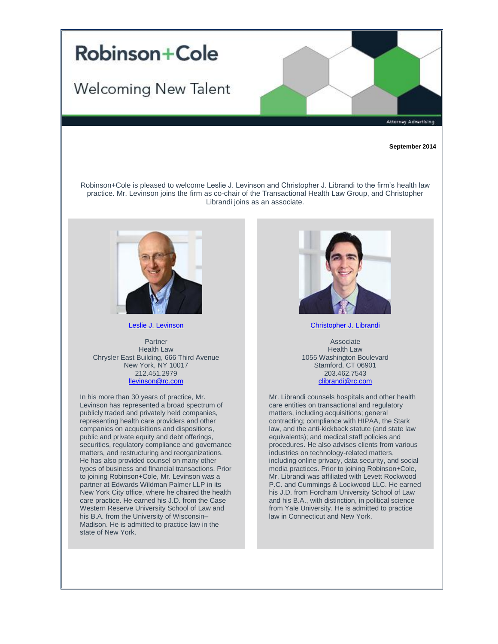

**September 2014**

Robinson+Cole is pleased to welcome Leslie J. Levinson and Christopher J. Librandi to the firm's health law practice. Mr. Levinson joins the firm as co-chair of the Transactional Health Law Group, and Christopher Librandi joins as an associate.



Robinson+Cole

[Leslie J. Levinson](http://t2806904.omkt.co/track.aspx?id=402|2AD478|6F10|19C|796|0|557|1|3EFFD62D&destination=http%3a%2f%2fwww.rc.com%2fpeople%2fLeslieJLevinson.cfm%3futm_source%3dVocus%26utm_medium%3demail%26utm_campaign%3dRobinson%2b%2526%2bCole%2bLLP%26utm_content%3dNew%2bHealth%2bLaw%2bLawyers&dchk=23E0AEA9)

Partner Health Law Chrysler East Building, 666 Third Avenue New York, NY 10017 212.451.2979 [llevinson@rc.com](mailto:llevinson@rc.com)

In his more than 30 years of practice, Mr. Levinson has represented a broad spectrum of publicly traded and privately held companies, representing health care providers and other companies on acquisitions and dispositions, public and private equity and debt offerings, securities, regulatory compliance and governance matters, and restructuring and reorganizations. He has also provided counsel on many other types of business and financial transactions. Prior to joining Robinson+Cole, Mr. Levinson was a partner at Edwards Wildman Palmer LLP in its New York City office, where he chaired the health care practice. He earned his J.D. from the Case Western Reserve University School of Law and his B.A. from the University of Wisconsin– Madison. He is admitted to practice law in the state of New York.



[Christopher J. Librandi](http://t2806904.omkt.co/track.aspx?id=402|2AD478|6F10|19C|796|0|558|1|3EFFD62D&destination=http%3a%2f%2fwww.rc.com%2fpeople%2fChristopherJLibrandi.cfm%3futm_source%3dVocus%26utm_medium%3demail%26utm_campaign%3dRobinson%2b%2526%2bCole%2bLLP%26utm_content%3dNew%2bHealth%2bLaw%2bLawyers&dchk=78E35250)

Associate Health Law 1055 Washington Boulevard Stamford, CT 06901 203.462.7543 [clibrandi@rc.com](mailto:clibrandi@rc.com)

Mr. Librandi counsels hospitals and other health care entities on transactional and regulatory matters, including acquisitions; general contracting; compliance with HIPAA, the Stark law, and the anti-kickback statute (and state law equivalents); and medical staff policies and procedures. He also advises clients from various industries on technology-related matters, including online privacy, data security, and social media practices. Prior to joining Robinson+Cole, Mr. Librandi was affiliated with Levett Rockwood P.C. and Cummings & Lockwood LLC. He earned his J.D. from Fordham University School of Law and his B.A., with distinction, in political science from Yale University. He is admitted to practice law in Connecticut and New York.